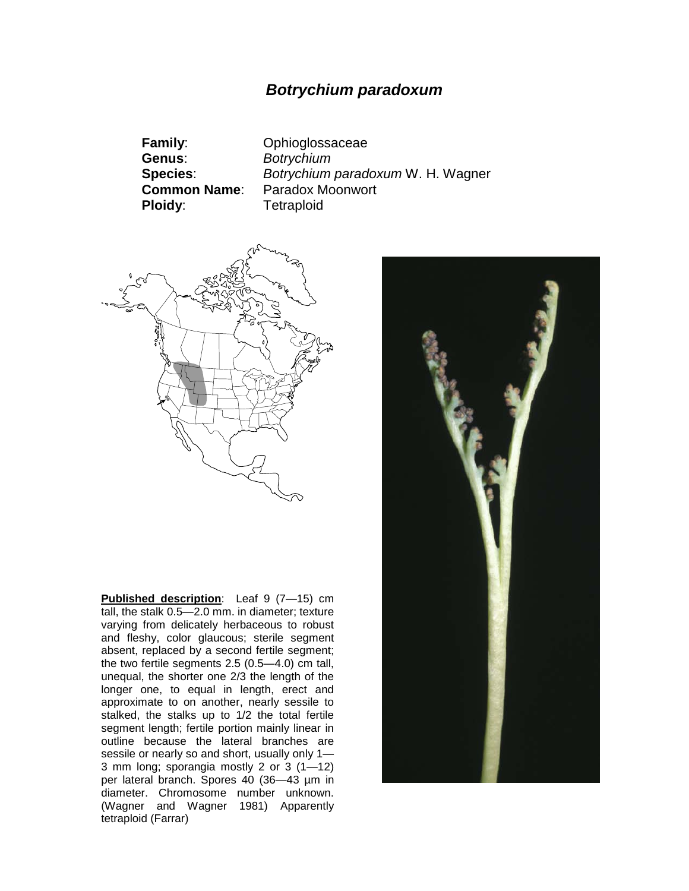# *Botrychium paradoxum*

**Family**: Ophioglossaceae **Genus**: *Botrychium* **Ploidy:** Tetraploid

**Species**: *Botrychium paradoxum* W. H. Wagner **Paradox Moonwort** 



**Published description**: Leaf 9 (7—15) cm tall, the stalk 0.5—2.0 mm. in diameter; texture varying from delicately herbaceous to robust and fleshy, color glaucous; sterile segment absent, replaced by a second fertile segment; the two fertile segments 2.5 (0.5—4.0) cm tall, unequal, the shorter one 2/3 the length of the longer one, to equal in length, erect and approximate to on another, nearly sessile to stalked, the stalks up to 1/2 the total fertile segment length; fertile portion mainly linear in outline because the lateral branches are sessile or nearly so and short, usually only 1— 3 mm long; sporangia mostly 2 or 3 (1—12) per lateral branch. Spores 40 (36—43 µm in diameter. Chromosome number unknown. (Wagner and Wagner 1981) Apparently tetraploid (Farrar)

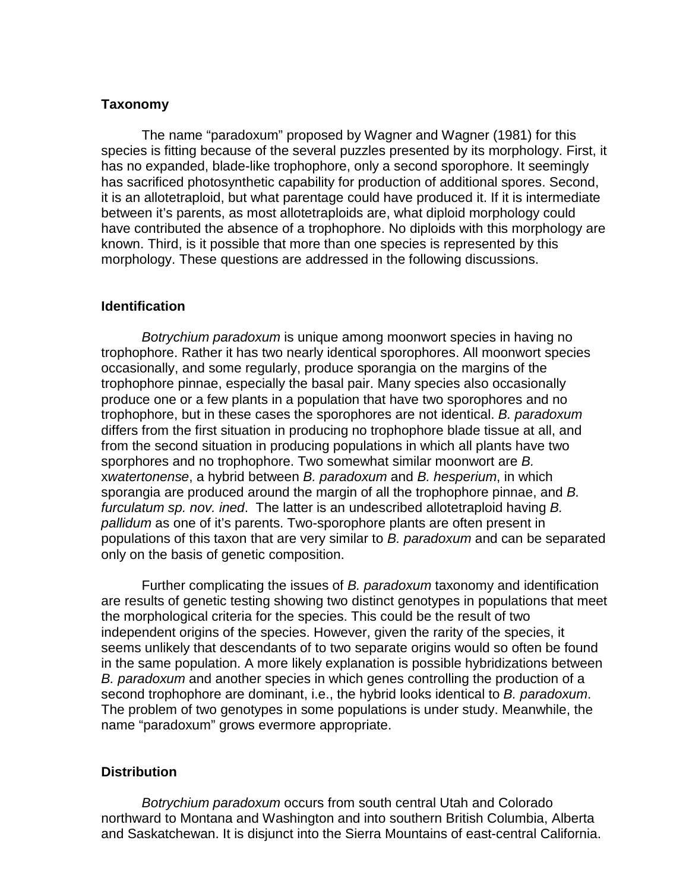## **Taxonomy**

The name "paradoxum" proposed by Wagner and Wagner (1981) for this species is fitting because of the several puzzles presented by its morphology. First, it has no expanded, blade-like trophophore, only a second sporophore. It seemingly has sacrificed photosynthetic capability for production of additional spores. Second, it is an allotetraploid, but what parentage could have produced it. If it is intermediate between it's parents, as most allotetraploids are, what diploid morphology could have contributed the absence of a trophophore. No diploids with this morphology are known. Third, is it possible that more than one species is represented by this morphology. These questions are addressed in the following discussions.

## **Identification**

*Botrychium paradoxum* is unique among moonwort species in having no trophophore. Rather it has two nearly identical sporophores. All moonwort species occasionally, and some regularly, produce sporangia on the margins of the trophophore pinnae, especially the basal pair. Many species also occasionally produce one or a few plants in a population that have two sporophores and no trophophore, but in these cases the sporophores are not identical. *B. paradoxum* differs from the first situation in producing no trophophore blade tissue at all, and from the second situation in producing populations in which all plants have two sporphores and no trophophore. Two somewhat similar moonwort are *B.* x*watertonense*, a hybrid between *B. paradoxum* and *B. hesperium*, in which sporangia are produced around the margin of all the trophophore pinnae, and *B. furculatum sp. nov. ined*. The latter is an undescribed allotetraploid having *B. pallidum* as one of it's parents. Two-sporophore plants are often present in populations of this taxon that are very similar to *B. paradoxum* and can be separated only on the basis of genetic composition.

Further complicating the issues of *B. paradoxum* taxonomy and identification are results of genetic testing showing two distinct genotypes in populations that meet the morphological criteria for the species. This could be the result of two independent origins of the species. However, given the rarity of the species, it seems unlikely that descendants of to two separate origins would so often be found in the same population. A more likely explanation is possible hybridizations between *B. paradoxum* and another species in which genes controlling the production of a second trophophore are dominant, i.e., the hybrid looks identical to *B. paradoxum*. The problem of two genotypes in some populations is under study. Meanwhile, the name "paradoxum" grows evermore appropriate.

#### **Distribution**

*Botrychium paradoxum* occurs from south central Utah and Colorado northward to Montana and Washington and into southern British Columbia, Alberta and Saskatchewan. It is disjunct into the Sierra Mountains of east-central California.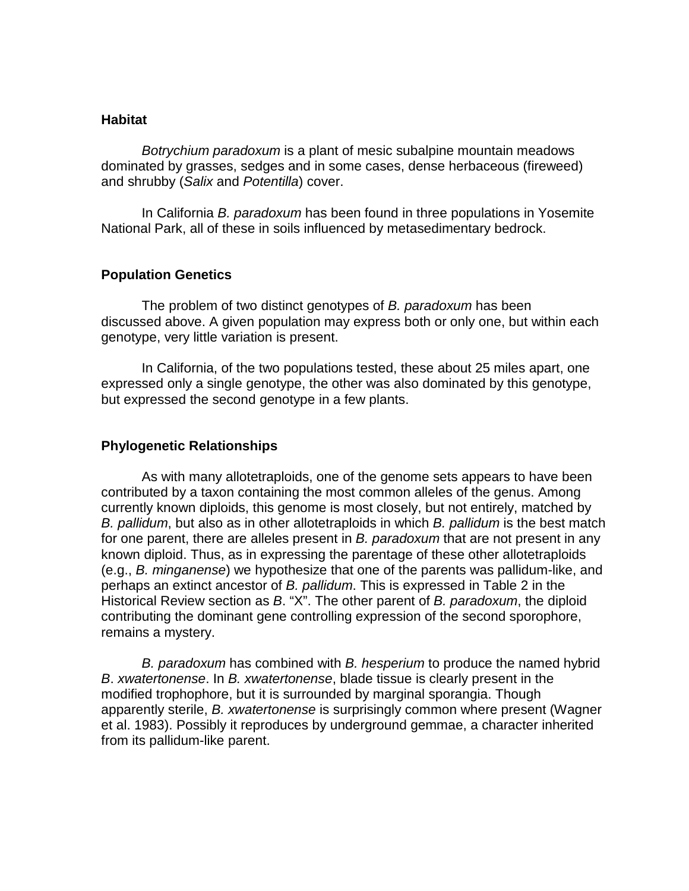## **Habitat**

*Botrychium paradoxum* is a plant of mesic subalpine mountain meadows dominated by grasses, sedges and in some cases, dense herbaceous (fireweed) and shrubby (*Salix* and *Potentilla*) cover.

In California *B. paradoxum* has been found in three populations in Yosemite National Park, all of these in soils influenced by metasedimentary bedrock.

### **Population Genetics**

The problem of two distinct genotypes of *B. paradoxum* has been discussed above. A given population may express both or only one, but within each genotype, very little variation is present.

In California, of the two populations tested, these about 25 miles apart, one expressed only a single genotype, the other was also dominated by this genotype, but expressed the second genotype in a few plants.

## **Phylogenetic Relationships**

As with many allotetraploids, one of the genome sets appears to have been contributed by a taxon containing the most common alleles of the genus. Among currently known diploids, this genome is most closely, but not entirely, matched by *B. pallidum*, but also as in other allotetraploids in which *B. pallidum* is the best match for one parent, there are alleles present in *B. paradoxum* that are not present in any known diploid. Thus, as in expressing the parentage of these other allotetraploids (e.g., *B. minganense*) we hypothesize that one of the parents was pallidum-like, and perhaps an extinct ancestor of *B. pallidum*. This is expressed in Table 2 in the Historical Review section as *B*. "X". The other parent of *B. paradoxum*, the diploid contributing the dominant gene controlling expression of the second sporophore, remains a mystery.

*B. paradoxum* has combined with *B. hesperium* to produce the named hybrid *B*. *xwatertonense*. In *B. xwatertonense*, blade tissue is clearly present in the modified trophophore, but it is surrounded by marginal sporangia. Though apparently sterile, *B. xwatertonense* is surprisingly common where present (Wagner et al. 1983). Possibly it reproduces by underground gemmae, a character inherited from its pallidum-like parent.